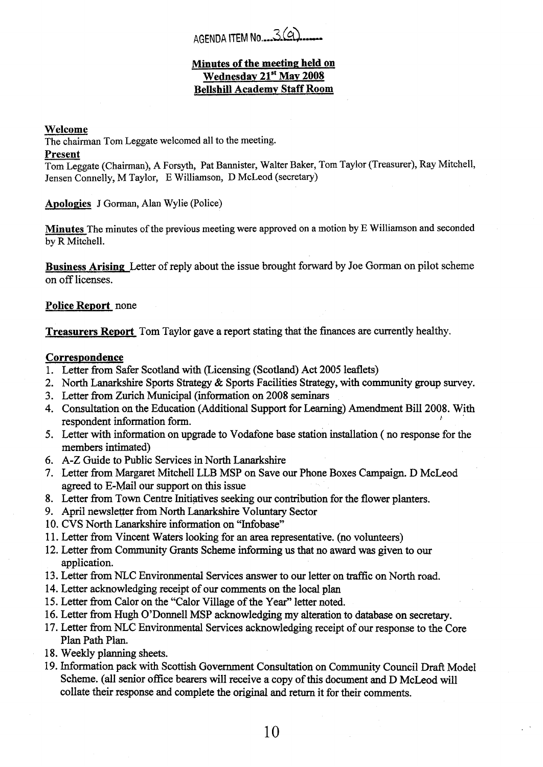# AGENDA ITEM No. 3(9)

## **Minutes of the meeting; held on Wednesday 21st May 2008 Bellshill Academv Staff Room**

#### **Welcome**

The chairman Tom Leggate welcomed all to the meeting.

#### **Present**

Tom Leggate (Chairman), **A** Forsyth, Pat Bannister, Walter Baker, Tom Taylor (Treasurer), Ray Mitchell, Jensen Connelly, M Taylor, E Williamson, D McLeod (secretary)

**Apologies** J Gorman, Alan Wylie (Police)

**Minutes** The minutes of the previous meeting were approved on a motion by E Williamson and seconded by R Mitchell.

**Business Arising** Letter of reply about the issue brought forward by Joe Goman on pilot scheme on off licenses.

### **Police Report** none

**Treasurers Report** Tom Taylor gave a report stating that the finances are currently healthy.

#### **Correspondence**

- 1. Letter from Safer Scotland with (Licensing (Scotland) Act 2005 leaflets)
- **2.**  North Lanarkshire Sports Strategy & Sports Facilities Strategy, with community group survey.
- **3.**  Letter from Zurich Municipal (information on **2008** seminars
- 4. Consultation on the Education (Additional Support for Learning) Amendment Bill **2008.** With respondent information form.  $F_{\rm{max}}$  and  $F_{\rm{max}}$
- 5. Letter with information on upgrade to Vodafone base station installation ( no response for the members intimated)
- 6. **A-Z** Guide to Public Services in North Lanarkshire
- 7. Letter from Margaret Mitchell LLB MSP on Save our Phone Boxes Campaign. D McLeod agreed to E-Mail our support on this issue
- **8.**  Letter from Town Centre Initiatives seeking our contribution for the flower planters.
- 9. April newslefter from North Lanarkshire Voluntary Sector
- 10. CVS North Lanarkshire information on "Infobase"
- 1 1. Letter from Vincent Waters looking for an area representative. (no volunteers)
- **12.** Letter from Community Grants Scheme informing **us** that no award was given to our application.
- 13. Letter from NLC Environmental Services answer to our letter on traflic on North road.
- 14. Letter acknowledging receipt of our comments on the local plan
- 15. Letter from Calor on the "Calor Village of the Year" letter noted.
- 16. Letter from Hugh O'Donnell MSP acknowledging **my** alteration to database on secretary.
- 17. Letter from NLC Environmental Services acknowledging receipt of our response to the Core Plan Path Plan.
- **18.** Weekly planning sheets.
- 19. Information pack with Scottish Government Consultation on Community Council **Draft** Model Scheme. (all senior office bearers will receive a copy of **this** document and D McLeod will collate their response and complete the original and return it for their comments.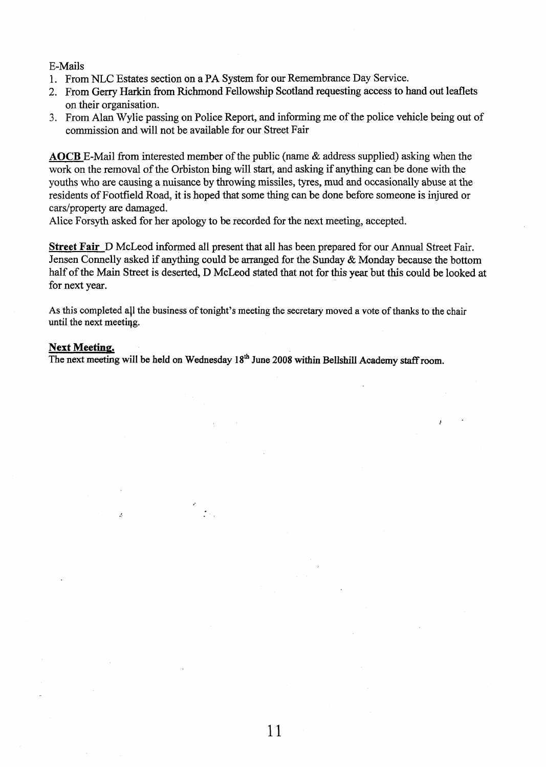#### E-Mails

- 1. From NLC Estates section on a PA System for our Remembrance Day Service.
- 2. From Gerry Harkin from Richmond Fellowship Scotland requesting access to hand **out** leaflets on their organisation.
- 3. From Alan Wylie passing on Police Report, and informing me of the police vehicle being out of commission and will not be available for our Street Fair

**AOCB** E-Mail from interested member of the public (name & address supplied) asking when the work on the removal of the Orbiston bing will start, and asking if anything can be done with the youths who are causing a nuisance by throwing missiles, tyres, mud and occasionally abuse **at** the residents of Footfield Road, it **is** hoped that some thing can be done before someone is injured or cars/property are damaged.

Alice Forsyth asked for her apology to be recorded for the next meeting, accepted.

**Street Fair** D McLeod informed all present that all has been prepared for our Annual Street Fair. Jensen Connelly asked if anything could be arranged for the Sunday & Monday because the bottom half of the Main Street is deserted, D McLeod stated that not for this **year** but this could be looked at for next year.

**As** this completed all the business of tonight's meeting the secretary moved a vote of **thanks** to the chair until the next meetiqg.

#### **Next Meeting.**

 $\overline{\mathcal{L}}$ 

The next meeting will be held on Wednesday 18<sup>th</sup> June 2008 within Bellshill Academy staff room.

 $\mathcal{D}_{\mathcal{A}}$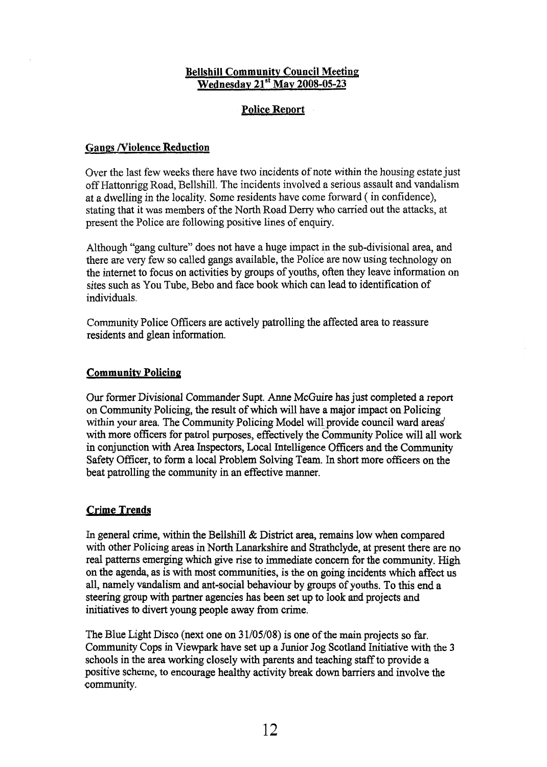## **Bellshill Community Council Meeting Wednesday 21"' May 2008-05-23**

## **Police Report**

## **Gangs Niolence Reduction**

Over the last few weeks there have two incidents of note within the housing estate just off Hattonrigg Road, Bellshill. The incidents involved a serious assault and vandalism at a dwelling in the locality. Some residents have come forward ( in confidence), stating that it was members of the North Road Derry who carried out the attacks, at present the Police are following positive lines of enquiry.

Although "gang culture" does not have a huge impact in the sub-divisional area, and there are very few so called gangs available, the Police are now using technology on the internet to focus on activities by groups of youths, often they leave information on sites such as You Tube, Bebo and face **book** which can lead to identification of individuals.

Community Police Officers are actively patrolling the affected area to reassure residents and glean information.

## **Community Policing**

**Our** former Divisional Commander Supt. Anne McGuire has just completed a report on Community Policing, the result of which will have a major impact on Policing within your area. The Community Policing Model will provide council ward areas' with more officers for patrol purposes, effectively the Community Police will all work in conjunction with Area Inspectors, Local Intelligence Officers and the Community Safety Officer, to form a local Problem Solving Team. In short more officers on the beat patrolling the community in an effective manner.

## **Crime Trends**

In general crime, within the Bellshill & District area, remains low when compared with other Policing areas in **North** Lanarkshire and Strathclyde, at present there are no real patterns emerging which give rise to immediate concern for the community. High on the agenda, as is with most communities, is the on going incidents which affect us all, namely vandalism and ant-social behaviour by groups of youths. To this end a steering group with partner agencies has been set up to **look** and projects and initiatives to divert young people away from crime.

The Blue Light Disco (next one on **3** 1/05/08) is one of the main projects so far. Community Cops in Viewpark have set up a Junior Jog Scotland Initiative with the **3**  schools in the area working closely with parents and teaching staff to provide a positive scheme, to encourage healthy activity break down barriers and involve the community.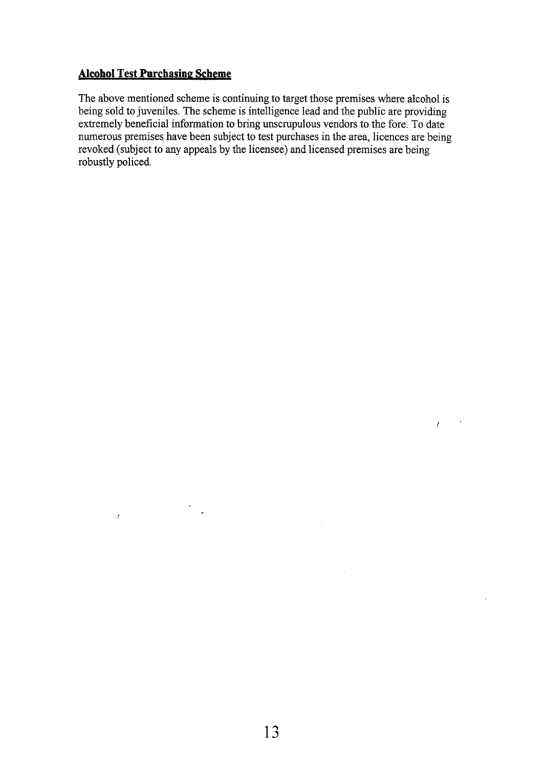## **Alcohol Test Purchasing Scheme**

 $\hat{Z}$ 

The above mentioned scheme is continuing to target those premises where alcohol is being sold to juveniles. The scheme is intelligence lead and the public are providing extremely beneficial information to bring unscrupulous vendors to the fore. To date numerous premises have been subject to test purchases in the area, licences are being revoked (subject to any appeals by the licensee) and licensed premises are being robustly policed.

 $\bar{A}$ 

*<sup>I</sup>'*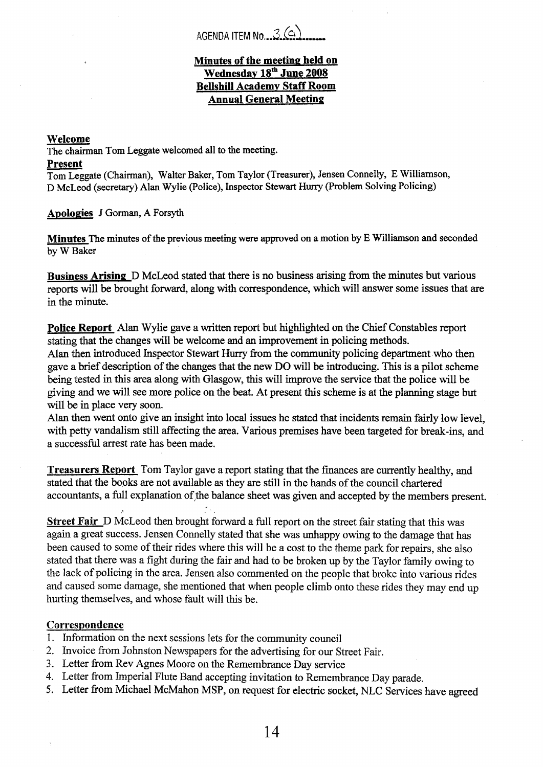## AGENDA ITEM No. 3 (a)

## **Minutes of the meeting held on**  Wednesday 18<sup>th</sup> June 2008 **Bellshill Academy Staff Room Annual General Meeting**

### **Welcome**

The chairman **Tom** Leggate welcomed all to the meeting.

#### **Present**

Tom Leggate (Chairman), Waiter Baker, Tom Taylor (Treasurer), Jensen Connelly, E Williamson, D McLeod (secretary) Alan Wylie (Police), Inspector Stewart Huny (Problem Solving Policing)

## **Apologies J** Gorman, **A** Forsyth

**Minutes** The minutes of the previous meeting were approved on a motion by E Williamson and seconded by W Baker

**Business Arisiw** D McLeod stated that there is no business arising from the minutes but various reports will be brought forward, along with correspondence, which will answer some issues that are in the minute.

**Police Report** Alan Wylie gave a written report but highlighted on the Chief Constables report stating that the changes will be welcome and **an** improvement in policing methods.

Alan then introduced Inspector Stewart Huny from the community policing department who then gave a brief description of the changes that the new DO will be introducing. This is a pilot scheme being tested in this area along with Glasgow, this will improve the service that the police will be giving and we will see more police on the beat. **At** present this scheme is at the planning stage but will be in place very soon.

Alan then went onto give **an** insight into local issues he stated that incidents remain fairly low level, with petty vandalism still affecting the area. Various premises have been targeted for break-ins, and a successful arrest rate has been made.

**Treasurers Report** Tom Taylor gave a report stating that the finances are currently healthy, and stated that the books are not available **as** they are still in the hands of the council chartered accountants, a full explanation of the balance sheet was given and accepted by the members present.

**Street Fair** D McLeod then brought forward a full report on the street fair stating that this was again a great success. Jensen Connelly stated that she was unhappy owing to the damage that has been caused to some of their rides where this will be a cost to the theme park for repairs, she also stated that there was a fight during the fair and had to be broken up by the Taylor family owing to the lack of policing in the area. Jensen also commented on the people that broke into various rides and caused some damage, she mentioned that when people climb onto these rides they may end up hurting themselves, and whose fault will this be.

## **CorresDondence**

- 1. Information on the next sessions lets for the community council
- 2. Lnvoice fiom Johnston Newspapers for the advertising for our Street Fair.
- 3. Letter fiom Rev Agnes Moore on the Remembrance Day service
- 4. Letter from Imperial Flute Band accepting invitation to Remembrance Day parade.
- *5.* Letter fiom Michael McMahon MSP, on request for electric socket, NLC Services have agreed